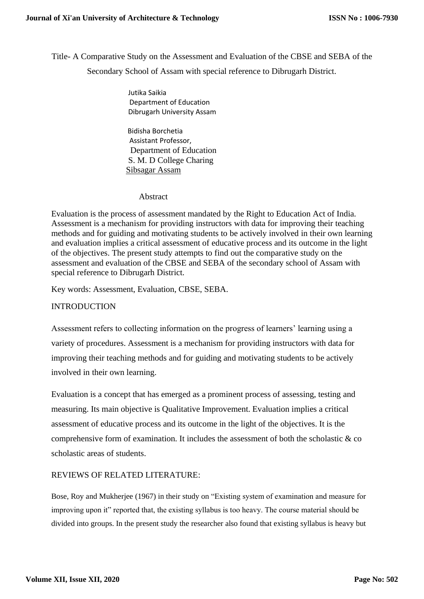Title- A Comparative Study on the Assessment and Evaluation of the CBSE and SEBA of the Secondary School of Assam with special reference to Dibrugarh District.

> Jutika Saikia Department of Education Dibrugarh University Assam

 Bidisha Borchetia Assistant Professor, Department of Education S. M. D College Charing Sibsagar Assam

#### Abstract

Evaluation is the process of assessment mandated by the Right to Education Act of India. Assessment is a mechanism for providing instructors with data for improving their teaching methods and for guiding and motivating students to be actively involved in their own learning and evaluation implies a critical assessment of educative process and its outcome in the light of the objectives. The present study attempts to find out the comparative study on the assessment and evaluation of the CBSE and SEBA of the secondary school of Assam with special reference to Dibrugarh District.

Key words: Assessment, Evaluation, CBSE, SEBA.

# INTRODUCTION

Assessment refers to collecting information on the progress of learners' learning using a variety of procedures. Assessment is a mechanism for providing instructors with data for improving their teaching methods and for guiding and motivating students to be actively involved in their own learning.

Evaluation is a concept that has emerged as a prominent process of assessing, testing and measuring. Its main objective is Qualitative Improvement. Evaluation implies a critical assessment of educative process and its outcome in the light of the objectives. It is the comprehensive form of examination. It includes the assessment of both the scholastic  $\& \circ$ scholastic areas of students.

# REVIEWS OF RELATED LITERATURE:

Bose, Roy and Mukherjee (1967) in their study on "Existing system of examination and measure for improving upon it" reported that, the existing syllabus is too heavy. The course material should be divided into groups. In the present study the researcher also found that existing syllabus is heavy but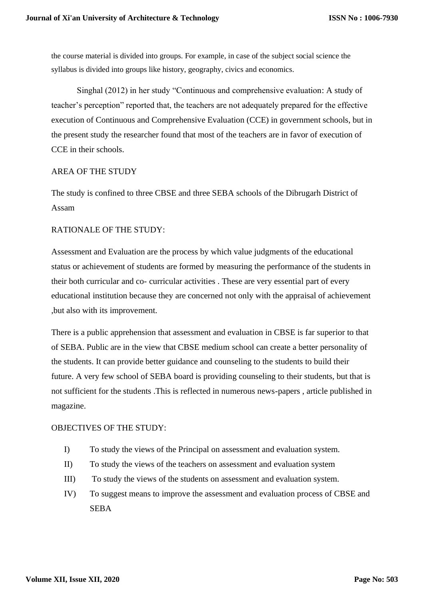the course material is divided into groups. For example, in case of the subject social science the syllabus is divided into groups like history, geography, civics and economics.

 Singhal (2012) in her study "Continuous and comprehensive evaluation: A study of teacher's perception" reported that, the teachers are not adequately prepared for the effective execution of Continuous and Comprehensive Evaluation (CCE) in government schools, but in the present study the researcher found that most of the teachers are in favor of execution of CCE in their schools.

### AREA OF THE STUDY

The study is confined to three CBSE and three SEBA schools of the Dibrugarh District of Assam

## RATIONALE OF THE STUDY:

Assessment and Evaluation are the process by which value judgments of the educational status or achievement of students are formed by measuring the performance of the students in their both curricular and co- curricular activities . These are very essential part of every educational institution because they are concerned not only with the appraisal of achievement ,but also with its improvement.

There is a public apprehension that assessment and evaluation in CBSE is far superior to that of SEBA. Public are in the view that CBSE medium school can create a better personality of the students. It can provide better guidance and counseling to the students to build their future. A very few school of SEBA board is providing counseling to their students, but that is not sufficient for the students .This is reflected in numerous news-papers , article published in magazine.

### OBJECTIVES OF THE STUDY:

- I) To study the views of the Principal on assessment and evaluation system.
- II) To study the views of the teachers on assessment and evaluation system
- III) To study the views of the students on assessment and evaluation system.
- IV) To suggest means to improve the assessment and evaluation process of CBSE and SEBA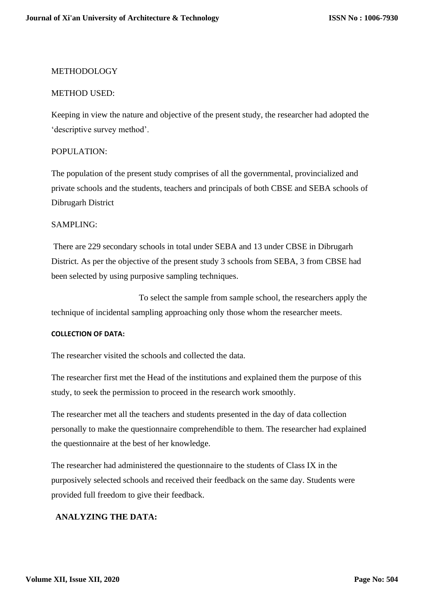### METHODOLOGY

#### METHOD USED:

Keeping in view the nature and objective of the present study, the researcher had adopted the 'descriptive survey method'.

### POPULATION:

The population of the present study comprises of all the governmental, provincialized and private schools and the students, teachers and principals of both CBSE and SEBA schools of Dibrugarh District

### SAMPLING:

There are 229 secondary schools in total under SEBA and 13 under CBSE in Dibrugarh District. As per the objective of the present study 3 schools from SEBA, 3 from CBSE had been selected by using purposive sampling techniques.

To select the sample from sample school, the researchers apply the technique of incidental sampling approaching only those whom the researcher meets.

#### **COLLECTION OF DATA:**

The researcher visited the schools and collected the data.

The researcher first met the Head of the institutions and explained them the purpose of this study, to seek the permission to proceed in the research work smoothly.

The researcher met all the teachers and students presented in the day of data collection personally to make the questionnaire comprehendible to them. The researcher had explained the questionnaire at the best of her knowledge.

The researcher had administered the questionnaire to the students of Class IX in the purposively selected schools and received their feedback on the same day. Students were provided full freedom to give their feedback.

### **ANALYZING THE DATA:**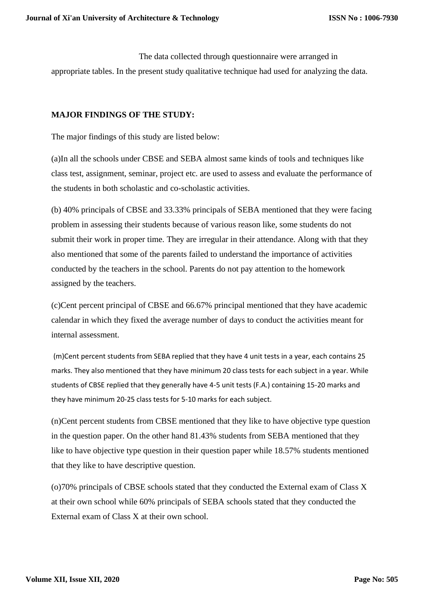The data collected through questionnaire were arranged in appropriate tables. In the present study qualitative technique had used for analyzing the data.

# **MAJOR FINDINGS OF THE STUDY:**

The major findings of this study are listed below:

(a)In all the schools under CBSE and SEBA almost same kinds of tools and techniques like class test, assignment, seminar, project etc. are used to assess and evaluate the performance of the students in both scholastic and co-scholastic activities.

(b) 40% principals of CBSE and 33.33% principals of SEBA mentioned that they were facing problem in assessing their students because of various reason like, some students do not submit their work in proper time. They are irregular in their attendance. Along with that they also mentioned that some of the parents failed to understand the importance of activities conducted by the teachers in the school. Parents do not pay attention to the homework assigned by the teachers.

(c)Cent percent principal of CBSE and 66.67% principal mentioned that they have academic calendar in which they fixed the average number of days to conduct the activities meant for internal assessment.

(m)Cent percent students from SEBA replied that they have 4 unit tests in a year, each contains 25 marks. They also mentioned that they have minimum 20 class tests for each subject in a year. While students of CBSE replied that they generally have 4-5 unit tests (F.A.) containing 15-20 marks and they have minimum 20-25 class tests for 5-10 marks for each subject.

(n)Cent percent students from CBSE mentioned that they like to have objective type question in the question paper. On the other hand 81.43% students from SEBA mentioned that they like to have objective type question in their question paper while 18.57% students mentioned that they like to have descriptive question.

(o)70% principals of CBSE schools stated that they conducted the External exam of Class X at their own school while 60% principals of SEBA schools stated that they conducted the External exam of Class X at their own school.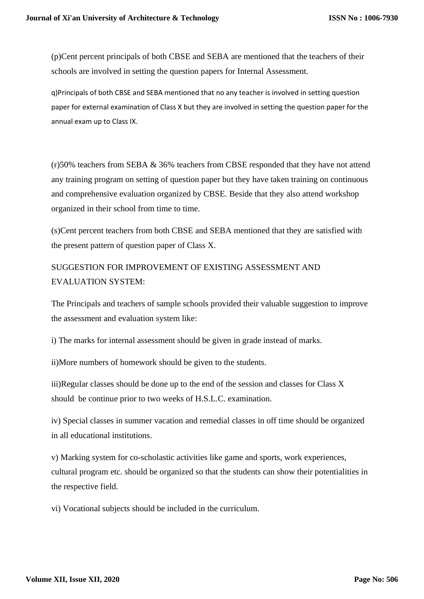(p)Cent percent principals of both CBSE and SEBA are mentioned that the teachers of their schools are involved in setting the question papers for Internal Assessment.

q)Principals of both CBSE and SEBA mentioned that no any teacher is involved in setting question paper for external examination of Class X but they are involved in setting the question paper for the annual exam up to Class IX.

(r)50% teachers from SEBA & 36% teachers from CBSE responded that they have not attend any training program on setting of question paper but they have taken training on continuous and comprehensive evaluation organized by CBSE. Beside that they also attend workshop organized in their school from time to time.

(s)Cent percent teachers from both CBSE and SEBA mentioned that they are satisfied with the present pattern of question paper of Class X.

SUGGESTION FOR IMPROVEMENT OF EXISTING ASSESSMENT AND EVALUATION SYSTEM:

The Principals and teachers of sample schools provided their valuable suggestion to improve the assessment and evaluation system like:

i) The marks for internal assessment should be given in grade instead of marks.

ii)More numbers of homework should be given to the students.

iii)Regular classes should be done up to the end of the session and classes for Class X should be continue prior to two weeks of H.S.L.C. examination.

iv) Special classes in summer vacation and remedial classes in off time should be organized in all educational institutions.

v) Marking system for co-scholastic activities like game and sports, work experiences, cultural program etc. should be organized so that the students can show their potentialities in the respective field.

vi) Vocational subjects should be included in the curriculum.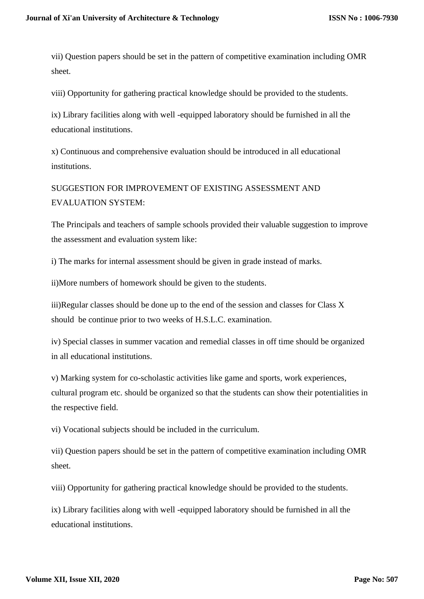vii) Question papers should be set in the pattern of competitive examination including OMR sheet.

viii) Opportunity for gathering practical knowledge should be provided to the students.

ix) Library facilities along with well -equipped laboratory should be furnished in all the educational institutions.

x) Continuous and comprehensive evaluation should be introduced in all educational institutions.

SUGGESTION FOR IMPROVEMENT OF EXISTING ASSESSMENT AND EVALUATION SYSTEM:

The Principals and teachers of sample schools provided their valuable suggestion to improve the assessment and evaluation system like:

i) The marks for internal assessment should be given in grade instead of marks.

ii)More numbers of homework should be given to the students.

iii)Regular classes should be done up to the end of the session and classes for Class X should be continue prior to two weeks of H.S.L.C. examination.

iv) Special classes in summer vacation and remedial classes in off time should be organized in all educational institutions.

v) Marking system for co-scholastic activities like game and sports, work experiences, cultural program etc. should be organized so that the students can show their potentialities in the respective field.

vi) Vocational subjects should be included in the curriculum.

vii) Question papers should be set in the pattern of competitive examination including OMR sheet.

viii) Opportunity for gathering practical knowledge should be provided to the students.

ix) Library facilities along with well -equipped laboratory should be furnished in all the educational institutions.